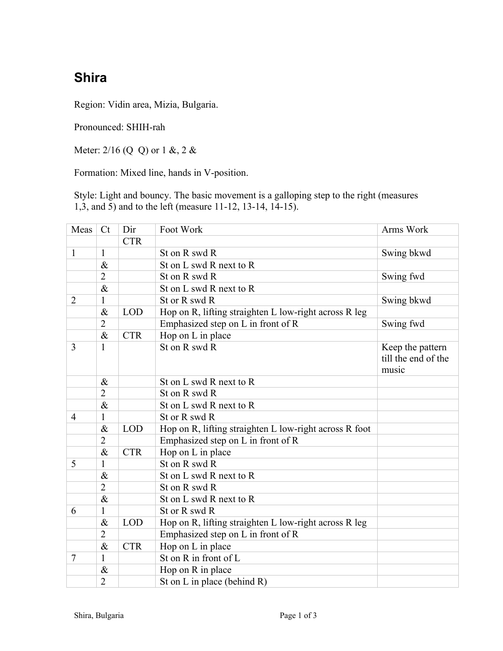## **Shira**

Region: Vidin area, Mizia, Bulgaria.

Pronounced: SHIH-rah

Meter: 2/16 (Q Q) or 1 &, 2 &

Formation: Mixed line, hands in V-position.

Style: Light and bouncy. The basic movement is a galloping step to the right (measures 1,3, and 5) and to the left (measure 11-12, 13-14, 14-15).

| Meas           | C <sub>t</sub> | Dir        | Foot Work                                              | Arms Work                                        |  |
|----------------|----------------|------------|--------------------------------------------------------|--------------------------------------------------|--|
|                |                | <b>CTR</b> |                                                        |                                                  |  |
| $\mathbf{1}$   | $\mathbf{1}$   |            | St on R swd R                                          | Swing bkwd                                       |  |
|                | $\&$           |            | St on L swd R next to R                                |                                                  |  |
|                | $\overline{2}$ |            | St on R swd R                                          | Swing fwd                                        |  |
|                | $\&$           |            | St on L swd R next to R                                |                                                  |  |
| $\overline{2}$ | $\mathbf{1}$   |            | St or R swd R                                          | Swing bkwd                                       |  |
|                | $\&$           | <b>LOD</b> | Hop on R, lifting straighten L low-right across R leg  |                                                  |  |
|                | $\overline{2}$ |            | Emphasized step on L in front of R                     | Swing fwd                                        |  |
|                | $\&$           | <b>CTR</b> | Hop on L in place                                      |                                                  |  |
| $\overline{3}$ | $\mathbf{1}$   |            | St on R swd R                                          | Keep the pattern<br>till the end of the<br>music |  |
|                | $\&$           |            | St on L swd R next to R                                |                                                  |  |
|                | $\overline{2}$ |            | St on R swd R                                          |                                                  |  |
|                | $\&$           |            | St on L swd R next to R                                |                                                  |  |
| 4              | $\mathbf{1}$   |            | St or R swd R                                          |                                                  |  |
|                | $\&$           | <b>LOD</b> | Hop on R, lifting straighten L low-right across R foot |                                                  |  |
|                | $\overline{2}$ |            | Emphasized step on L in front of R                     |                                                  |  |
|                | $\&$           | <b>CTR</b> | Hop on L in place                                      |                                                  |  |
| 5              | $\mathbf{1}$   |            | St on R swd R                                          |                                                  |  |
|                | $\&$           |            | St on L swd R next to R                                |                                                  |  |
|                | $\overline{2}$ |            | St on R swd R                                          |                                                  |  |
|                | $\&$           |            | St on L swd R next to R                                |                                                  |  |
| 6              | $\mathbf{1}$   |            | St or R swd R                                          |                                                  |  |
|                | $\&$           | <b>LOD</b> | Hop on R, lifting straighten L low-right across R leg  |                                                  |  |
|                | $\overline{2}$ |            | Emphasized step on L in front of R                     |                                                  |  |
|                | $\&$           | <b>CTR</b> | Hop on L in place                                      |                                                  |  |
| 7              | 1              |            | St on R in front of L                                  |                                                  |  |
|                | $\&$           |            | Hop on R in place                                      |                                                  |  |
|                | $\overline{2}$ |            | St on L in place (behind R)                            |                                                  |  |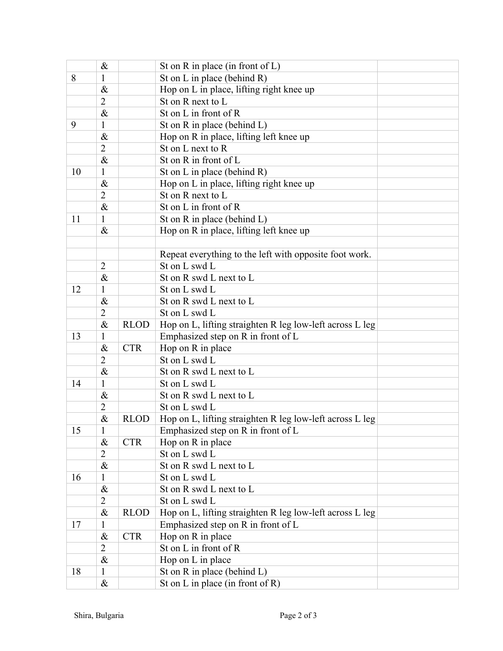|    | $\&$           |             | St on $R$ in place (in front of $L$ )                    |  |  |
|----|----------------|-------------|----------------------------------------------------------|--|--|
| 8  | $\mathbf{1}$   |             | St on L in place (behind R)                              |  |  |
|    | $\&$           |             | Hop on L in place, lifting right knee up                 |  |  |
|    | $\overline{2}$ |             | St on R next to L                                        |  |  |
|    | $\&$           |             | St on L in front of R                                    |  |  |
| 9  | 1              |             | St on $R$ in place (behind $L$ )                         |  |  |
|    | $\&$           |             | Hop on R in place, lifting left knee up                  |  |  |
|    | $\overline{2}$ |             | St on L next to R                                        |  |  |
|    | $\&$           |             | St on R in front of L                                    |  |  |
| 10 | $\mathbf{1}$   |             | St on L in place (behind R)                              |  |  |
|    | $\&$           |             | Hop on L in place, lifting right knee up                 |  |  |
|    | $\overline{2}$ |             | St on R next to L                                        |  |  |
|    | $\&$           |             | St on L in front of R                                    |  |  |
| 11 | 1              |             | St on R in place (behind L)                              |  |  |
|    | $\&$           |             | Hop on R in place, lifting left knee up                  |  |  |
|    |                |             |                                                          |  |  |
|    |                |             | Repeat everything to the left with opposite foot work.   |  |  |
|    | $\overline{2}$ |             | St on L swd L                                            |  |  |
|    | $\&$           |             | St on R swd L next to L                                  |  |  |
| 12 | 1              |             | St on L swd L                                            |  |  |
|    | $\&$           |             | St on R swd L next to L                                  |  |  |
|    | $\overline{2}$ |             | St on L swd L                                            |  |  |
|    | $\&$           | <b>RLOD</b> | Hop on L, lifting straighten R leg low-left across L leg |  |  |
| 13 | 1              |             | Emphasized step on R in front of L                       |  |  |
|    | $\&$           | <b>CTR</b>  | Hop on R in place                                        |  |  |
|    | $\overline{2}$ |             | St on L swd L                                            |  |  |
|    | $\&$           |             | St on R swd L next to L                                  |  |  |
| 14 | $\mathbf{1}$   |             | St on L swd L                                            |  |  |
|    | $\&$           |             | St on R swd L next to L                                  |  |  |
|    | $\overline{2}$ |             | St on L swd L                                            |  |  |
|    | $\&$           | <b>RLOD</b> | Hop on L, lifting straighten R leg low-left across L leg |  |  |
| 15 | $\mathbf{1}$   |             | Emphasized step on R in front of L                       |  |  |
|    | $\&$           | <b>CTR</b>  | Hop on R in place                                        |  |  |
|    | $\overline{2}$ |             | St on L swd L                                            |  |  |
|    | $\&$           |             | St on R swd L next to L                                  |  |  |
| 16 | $\mathbf{1}$   |             | St on L swd L                                            |  |  |
|    | $\&$           |             | St on R swd L next to L                                  |  |  |
|    | $\overline{2}$ |             | St on L swd L                                            |  |  |
|    | $\&$           | <b>RLOD</b> | Hop on L, lifting straighten R leg low-left across L leg |  |  |
| 17 | $\mathbf{1}$   |             | Emphasized step on R in front of L                       |  |  |
|    | $\&$           | <b>CTR</b>  | Hop on R in place                                        |  |  |
|    | $\overline{2}$ |             | St on L in front of R                                    |  |  |
|    | $\&$           |             | Hop on L in place                                        |  |  |
| 18 | $\mathbf{1}$   |             | St on R in place (behind L)                              |  |  |
|    | $\&$           |             | St on L in place (in front of R)                         |  |  |